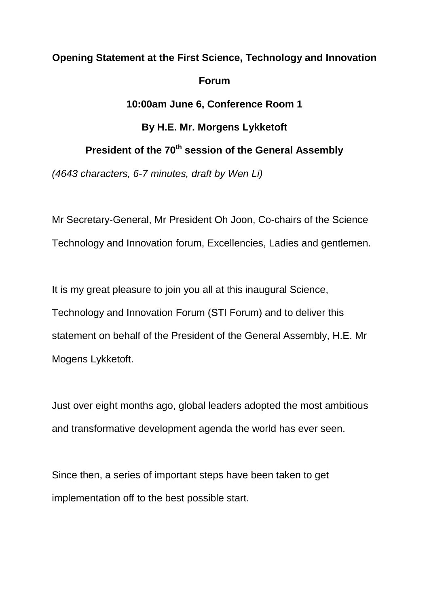## **Opening Statement at the First Science, Technology and Innovation Forum 10:00am June 6, Conference Room 1**

## **By H.E. Mr. Morgens Lykketoft**

## **President of the 70th session of the General Assembly**

*(4643 characters, 6-7 minutes, draft by Wen Li)*

Mr Secretary-General, Mr President Oh Joon, Co-chairs of the Science Technology and Innovation forum, Excellencies, Ladies and gentlemen.

It is my great pleasure to join you all at this inaugural Science, Technology and Innovation Forum (STI Forum) and to deliver this statement on behalf of the President of the General Assembly, H.E. Mr Mogens Lykketoft.

Just over eight months ago, global leaders adopted the most ambitious and transformative development agenda the world has ever seen.

Since then, a series of important steps have been taken to get implementation off to the best possible start.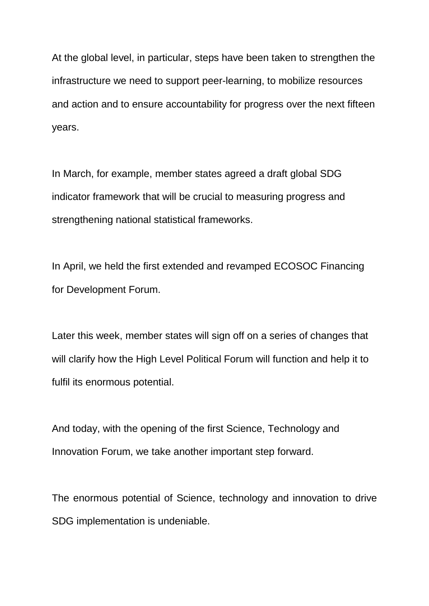At the global level, in particular, steps have been taken to strengthen the infrastructure we need to support peer-learning, to mobilize resources and action and to ensure accountability for progress over the next fifteen years.

In March, for example, member states agreed a draft global SDG indicator framework that will be crucial to measuring progress and strengthening national statistical frameworks.

In April, we held the first extended and revamped ECOSOC Financing for Development Forum.

Later this week, member states will sign off on a series of changes that will clarify how the High Level Political Forum will function and help it to fulfil its enormous potential.

And today, with the opening of the first Science, Technology and Innovation Forum, we take another important step forward.

The enormous potential of Science, technology and innovation to drive SDG implementation is undeniable.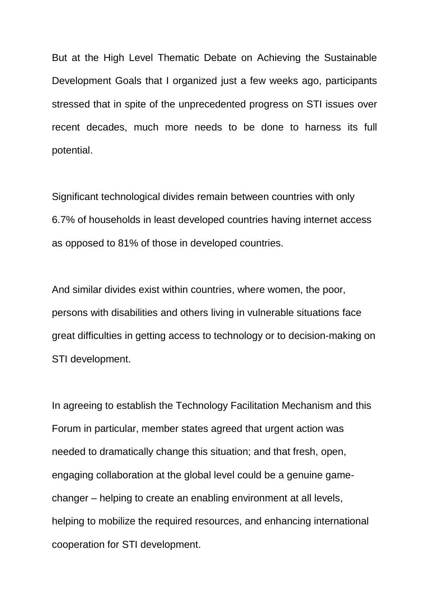But at the High Level Thematic Debate on Achieving the Sustainable Development Goals that I organized just a few weeks ago, participants stressed that in spite of the unprecedented progress on STI issues over recent decades, much more needs to be done to harness its full potential.

Significant technological divides remain between countries with only 6.7% of households in least developed countries having internet access as opposed to 81% of those in developed countries.

And similar divides exist within countries, where women, the poor, persons with disabilities and others living in vulnerable situations face great difficulties in getting access to technology or to decision-making on STI development.

In agreeing to establish the Technology Facilitation Mechanism and this Forum in particular, member states agreed that urgent action was needed to dramatically change this situation; and that fresh, open, engaging collaboration at the global level could be a genuine gamechanger – helping to create an enabling environment at all levels, helping to mobilize the required resources, and enhancing international cooperation for STI development.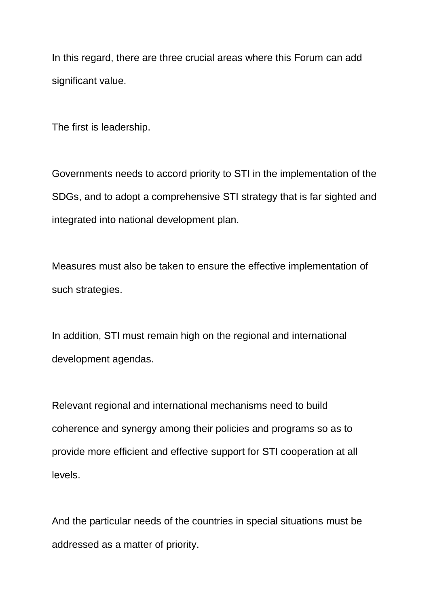In this regard, there are three crucial areas where this Forum can add significant value.

The first is leadership.

Governments needs to accord priority to STI in the implementation of the SDGs, and to adopt a comprehensive STI strategy that is far sighted and integrated into national development plan.

Measures must also be taken to ensure the effective implementation of such strategies.

In addition, STI must remain high on the regional and international development agendas.

Relevant regional and international mechanisms need to build coherence and synergy among their policies and programs so as to provide more efficient and effective support for STI cooperation at all levels.

And the particular needs of the countries in special situations must be addressed as a matter of priority.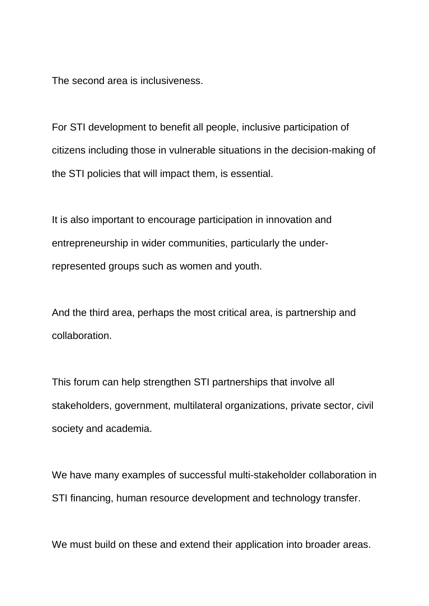The second area is inclusiveness.

For STI development to benefit all people, inclusive participation of citizens including those in vulnerable situations in the decision-making of the STI policies that will impact them, is essential.

It is also important to encourage participation in innovation and entrepreneurship in wider communities, particularly the underrepresented groups such as women and youth.

And the third area, perhaps the most critical area, is partnership and collaboration.

This forum can help strengthen STI partnerships that involve all stakeholders, government, multilateral organizations, private sector, civil society and academia.

We have many examples of successful multi-stakeholder collaboration in STI financing, human resource development and technology transfer.

We must build on these and extend their application into broader areas.